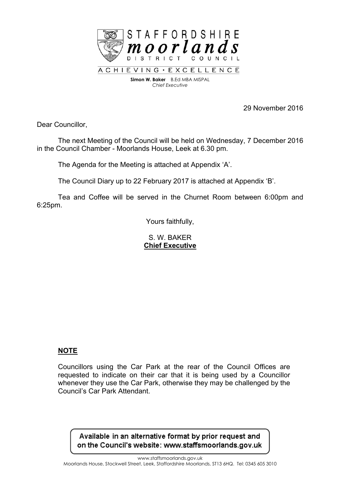

ACHIEVING · EXCELLENCE **Simon W. Baker** B.Ed MBA MISPAL *Chief Executive*

29 November 2016

Dear Councillor,

The next Meeting of the Council will be held on Wednesday, 7 December 2016 in the Council Chamber - Moorlands House, Leek at 6.30 pm.

The Agenda for the Meeting is attached at Appendix 'A'.

The Council Diary up to 22 February 2017 is attached at Appendix 'B'.

Tea and Coffee will be served in the Churnet Room between 6:00pm and 6:25pm.

Yours faithfully,

S. W. BAKER **Chief Executive**

#### **NOTE**

Councillors using the Car Park at the rear of the Council Offices are requested to indicate on their car that it is being used by a Councillor whenever they use the Car Park, otherwise they may be challenged by the Council's Car Park Attendant.

Available in an alternative format by prior request and on the Council's website: www.staffsmoorlands.gov.uk

www.staffsmoorlands.gov.uk

Moorlands House, Stockwell Street, Leek, Staffordshire Moorlands, ST13 6HQ. Tel: 0345 605 3010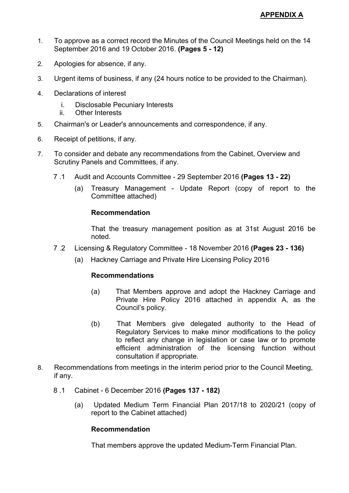- 1. To approve as a correct record the Minutes of the Council Meetings held on the 14 September 2016 and 19 October 2016. **(Pages 5 - 12)**
- 2. Apologies for absence, if any.
- 3. Urgent items of business, if any (24 hours notice to be provided to the Chairman).
- 4. Declarations of interest
	- i. Disclosable Pecuniary Interests
	- ii. Other Interests
- 5. Chairman's or Leader's announcements and correspondence, if any.
- 6. Receipt of petitions, if any.
- 7. To consider and debate any recommendations from the Cabinet, Overview and Scrutiny Panels and Committees, if any.
	- 7 .1 Audit and Accounts Committee 29 September 2016 **(Pages 13 - 22)**
		- (a) Treasury Management Update Report (copy of report to the Committee attached)

# **Recommendation**

That the treasury management position as at 31st August 2016 be noted.

- 7 .2 Licensing & Regulatory Committee 18 November 2016 **(Pages 23 - 136)**
	- (a) Hackney Carriage and Private Hire Licensing Policy 2016

# **Recommendations**

- (a) That Members approve and adopt the Hackney Carriage and Private Hire Policy 2016 attached in appendix A, as the Council's policy.
- (b) That Members give delegated authority to the Head of Regulatory Services to make minor modifications to the policy to reflect any change in legislation or case law or to promote efficient administration of the licensing function without consultation if appropriate.
- 8. Recommendations from meetings in the interim period prior to the Council Meeting, if any.
	- 8 .1 Cabinet 6 December 2016 **(Pages 137 - 182)**
		- (a) Updated Medium Term Financial Plan 2017/18 to 2020/21 (copy of report to the Cabinet attached)

## **Recommendation**

That members approve the updated Medium-Term Financial Plan.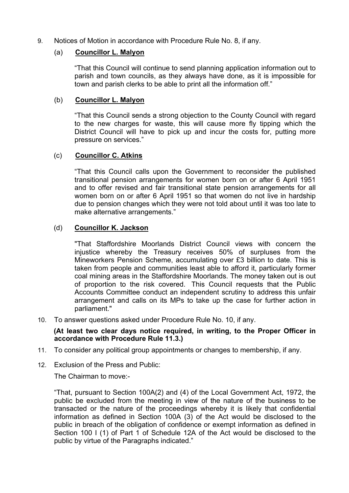9. Notices of Motion in accordance with Procedure Rule No. 8, if any.

### (a) **Councillor L. Malyon**

"That this Council will continue to send planning application information out to parish and town councils, as they always have done, as it is impossible for town and parish clerks to be able to print all the information off."

### (b) **Councillor L. Malyon**

"That this Council sends a strong objection to the County Council with regard to the new charges for waste, this will cause more fly tipping which the District Council will have to pick up and incur the costs for, putting more pressure on services."

### (c) **Councillor C. Atkins**

"That this Council calls upon the Government to reconsider the published transitional pension arrangements for women born on or after 6 April 1951 and to offer revised and fair transitional state pension arrangements for all women born on or after 6 April 1951 so that women do not live in hardship due to pension changes which they were not told about until it was too late to make alternative arrangements."

### (d) **Councillor K. Jackson**

"That Staffordshire Moorlands District Council views with concern the injustice whereby the Treasury receives 50% of surpluses from the Mineworkers Pension Scheme, accumulating over £3 billion to date. This is taken from people and communities least able to afford it, particularly former coal mining areas in the Staffordshire Moorlands. The money taken out is out of proportion to the risk covered. This Council requests that the Public Accounts Committee conduct an independent scrutiny to address this unfair arrangement and calls on its MPs to take up the case for further action in parliament."

10. To answer questions asked under Procedure Rule No. 10, if any.

#### **(At least two clear days notice required, in writing, to the Proper Officer in accordance with Procedure Rule 11.3.)**

- 11. To consider any political group appointments or changes to membership, if any.
- 12. Exclusion of the Press and Public:

The Chairman to move:-

"That, pursuant to Section 100A(2) and (4) of the Local Government Act, 1972, the public be excluded from the meeting in view of the nature of the business to be transacted or the nature of the proceedings whereby it is likely that confidential information as defined in Section 100A (3) of the Act would be disclosed to the public in breach of the obligation of confidence or exempt information as defined in Section 100 I (1) of Part 1 of Schedule 12A of the Act would be disclosed to the public by virtue of the Paragraphs indicated."